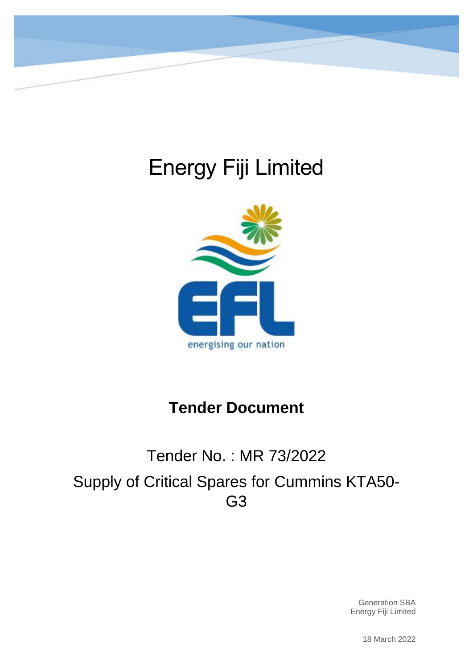

# Energy Fiji Limited



# **Tender Document**

# Tender No. : MR 73/2022 Supply of Critical Spares for Cummins KTA50- G3

Generation SBA Energy Fiji Limited

18 March 2022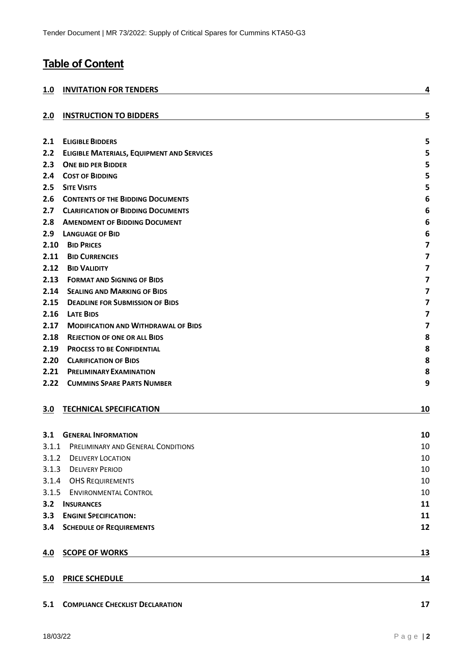# **Table of Content**

| 1.0        | <b>INVITATION FOR TENDERS</b>                     | 4                       |
|------------|---------------------------------------------------|-------------------------|
|            |                                                   |                         |
| 2.0        | <b>INSTRUCTION TO BIDDERS</b>                     | 5                       |
| 2.1        | <b>ELIGIBLE BIDDERS</b>                           | 5                       |
| 2.2        | <b>ELIGIBLE MATERIALS, EQUIPMENT AND SERVICES</b> | 5                       |
| 2.3        | <b>ONE BID PER BIDDER</b>                         | 5                       |
| 2.4        | <b>COST OF BIDDING</b>                            | 5                       |
| 2.5        | <b>SITE VISITS</b>                                | 5                       |
| 2.6        | <b>CONTENTS OF THE BIDDING DOCUMENTS</b>          | 6                       |
| 2.7        | <b>CLARIFICATION OF BIDDING DOCUMENTS</b>         | 6                       |
| 2.8        | <b>AMENDMENT OF BIDDING DOCUMENT</b>              | 6                       |
| 2.9        | <b>LANGUAGE OF BID</b>                            | 6                       |
| 2.10       | <b>BID PRICES</b>                                 | $\overline{\mathbf{z}}$ |
| 2.11       | <b>BID CURRENCIES</b>                             | $\overline{\mathbf{z}}$ |
| 2.12       | <b>BID VALIDITY</b>                               | $\overline{\mathbf{z}}$ |
| 2.13       | <b>FORMAT AND SIGNING OF BIDS</b>                 | 7                       |
| 2.14       | <b>SEALING AND MARKING OF BIDS</b>                | $\overline{\mathbf{z}}$ |
| 2.15       | <b>DEADLINE FOR SUBMISSION OF BIDS</b>            | $\overline{\mathbf{z}}$ |
| 2.16       | <b>LATE BIDS</b>                                  | $\overline{\mathbf{z}}$ |
| 2.17       | <b>MODIFICATION AND WITHDRAWAL OF BIDS</b>        | $\overline{\mathbf{z}}$ |
| 2.18       | <b>REJECTION OF ONE OR ALL BIDS</b>               | 8                       |
| 2.19       | <b>PROCESS TO BE CONFIDENTIAL</b>                 | 8                       |
| 2.20       | <b>CLARIFICATION OF BIDS</b>                      | 8                       |
| 2.21       | <b>PRELIMINARY EXAMINATION</b>                    | 8                       |
| 2.22       | <b>CUMMINS SPARE PARTS NUMBER</b>                 | 9                       |
| 3.0        | <b>TECHNICAL SPECIFICATION</b>                    | 10                      |
| 3.1        | <b>GENERAL INFORMATION</b>                        | 10                      |
| 3.1.1      | PRELIMINARY AND GENERAL CONDITIONS                | 10                      |
| 3.1.2      | <b>DELIVERY LOCATION</b>                          | 10                      |
|            | 3.1.3 DELIVERY PERIOD                             | 10                      |
|            | 3.1.4 OHS REQUIREMENTS                            | 10                      |
|            | 3.1.5 ENVIRONMENTAL CONTROL                       | 10                      |
| 3.2        | <b>INSURANCES</b>                                 | 11                      |
| 3.3        | <b>ENGINE SPECIFICATION:</b>                      | 11                      |
|            | <b>3.4 SCHEDULE OF REQUIREMENTS</b>               | 12                      |
| <u>4.0</u> | <b>SCOPE OF WORKS</b>                             | <u>13</u>               |
| 5.0        | <b>PRICE SCHEDULE</b>                             | 14                      |
| 5.1        | <b>COMPLIANCE CHECKLIST DECLARATION</b>           | 17                      |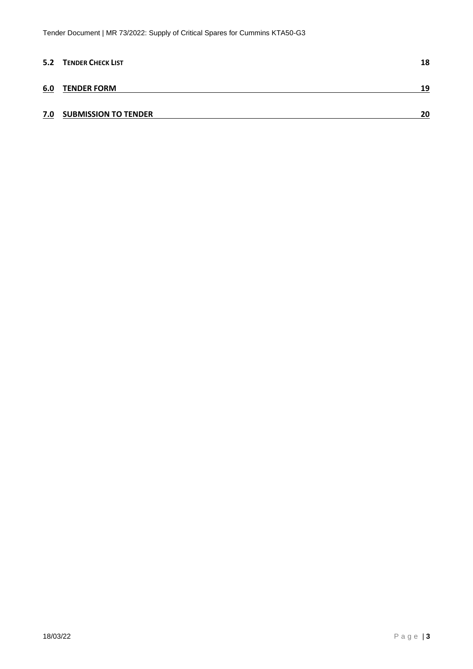|     | 5.2 TENDER CHECK LIST       | 18 |
|-----|-----------------------------|----|
| 6.0 | <b>TENDER FORM</b>          | 19 |
| 7.0 | <b>SUBMISSION TO TENDER</b> | 20 |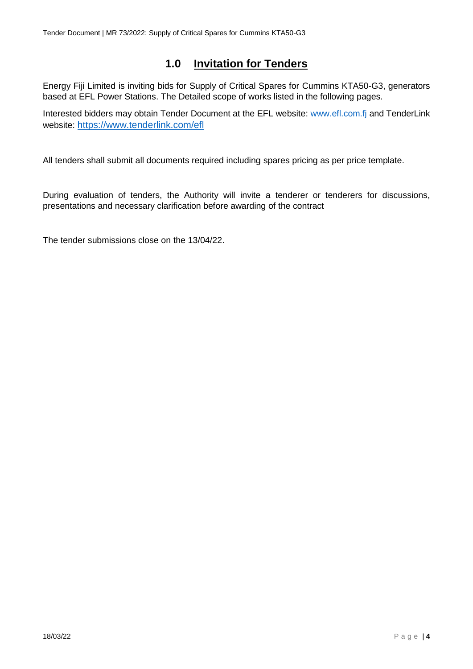# **1.0 Invitation for Tenders**

<span id="page-3-0"></span>Energy Fiji Limited is inviting bids for Supply of Critical Spares for Cummins KTA50-G3, generators based at EFL Power Stations. The Detailed scope of works listed in the following pages.

Interested bidders may obtain Tender Document at the EFL website: [www.efl.com.fj](http://www.efl.com.fj/) and TenderLink website: <https://www.tenderlink.com/efl>

All tenders shall submit all documents required including spares pricing as per price template.

During evaluation of tenders, the Authority will invite a tenderer or tenderers for discussions, presentations and necessary clarification before awarding of the contract

The tender submissions close on the 13/04/22.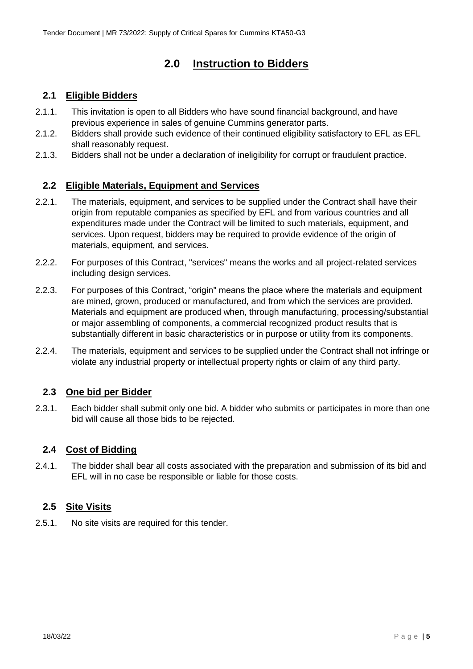# **2.0 Instruction to Bidders**

## <span id="page-4-1"></span><span id="page-4-0"></span>**2.1 Eligible Bidders**

- 2.1.1. This invitation is open to all Bidders who have sound financial background, and have previous experience in sales of genuine Cummins generator parts.
- 2.1.2. Bidders shall provide such evidence of their continued eligibility satisfactory to EFL as EFL shall reasonably request.
- 2.1.3. Bidders shall not be under a declaration of ineligibility for corrupt or fraudulent practice.

## <span id="page-4-2"></span>**2.2 Eligible Materials, Equipment and Services**

- 2.2.1. The materials, equipment, and services to be supplied under the Contract shall have their origin from reputable companies as specified by EFL and from various countries and all expenditures made under the Contract will be limited to such materials, equipment, and services. Upon request, bidders may be required to provide evidence of the origin of materials, equipment, and services.
- 2.2.2. For purposes of this Contract, "services" means the works and all project-related services including design services.
- 2.2.3. For purposes of this Contract, "origin" means the place where the materials and equipment are mined, grown, produced or manufactured, and from which the services are provided. Materials and equipment are produced when, through manufacturing, processing/substantial or major assembling of components, a commercial recognized product results that is substantially different in basic characteristics or in purpose or utility from its components.
- 2.2.4. The materials, equipment and services to be supplied under the Contract shall not infringe or violate any industrial property or intellectual property rights or claim of any third party.

## <span id="page-4-3"></span>**2.3 One bid per Bidder**

2.3.1. Each bidder shall submit only one bid. A bidder who submits or participates in more than one bid will cause all those bids to be rejected.

## <span id="page-4-4"></span>**2.4 Cost of Bidding**

2.4.1. The bidder shall bear all costs associated with the preparation and submission of its bid and EFL will in no case be responsible or liable for those costs.

## <span id="page-4-5"></span>**2.5 Site Visits**

2.5.1. No site visits are required for this tender.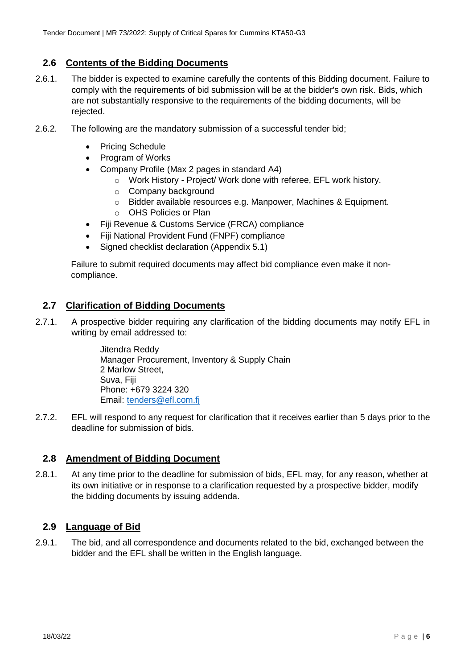## <span id="page-5-0"></span>**2.6 Contents of the Bidding Documents**

- 2.6.1. The bidder is expected to examine carefully the contents of this Bidding document. Failure to comply with the requirements of bid submission will be at the bidder's own risk. Bids, which are not substantially responsive to the requirements of the bidding documents, will be rejected.
- 2.6.2. The following are the mandatory submission of a successful tender bid;
	- Pricing Schedule
	- Program of Works
	- Company Profile (Max 2 pages in standard A4)
		- o Work History Project/ Work done with referee, EFL work history.
		- o Company background
		- o Bidder available resources e.g. Manpower, Machines & Equipment.
		- o OHS Policies or Plan
	- Fiji Revenue & Customs Service (FRCA) compliance
	- Fiji National Provident Fund (FNPF) compliance
	- Signed checklist declaration (Appendix 5.1)

Failure to submit required documents may affect bid compliance even make it noncompliance.

## <span id="page-5-1"></span>**2.7 Clarification of Bidding Documents**

2.7.1. A prospective bidder requiring any clarification of the bidding documents may notify EFL in writing by email addressed to:

> Jitendra Reddy Manager Procurement, Inventory & Supply Chain 2 Marlow Street, Suva, Fiji Phone: +679 3224 320 Email: [tenders@efl.com.fj](mailto:tenders@efl.com.fj)

2.7.2. EFL will respond to any request for clarification that it receives earlier than 5 days prior to the deadline for submission of bids.

## <span id="page-5-2"></span>**2.8 Amendment of Bidding Document**

2.8.1. At any time prior to the deadline for submission of bids, EFL may, for any reason, whether at its own initiative or in response to a clarification requested by a prospective bidder, modify the bidding documents by issuing addenda.

## <span id="page-5-3"></span>**2.9 Language of Bid**

2.9.1. The bid, and all correspondence and documents related to the bid, exchanged between the bidder and the EFL shall be written in the English language.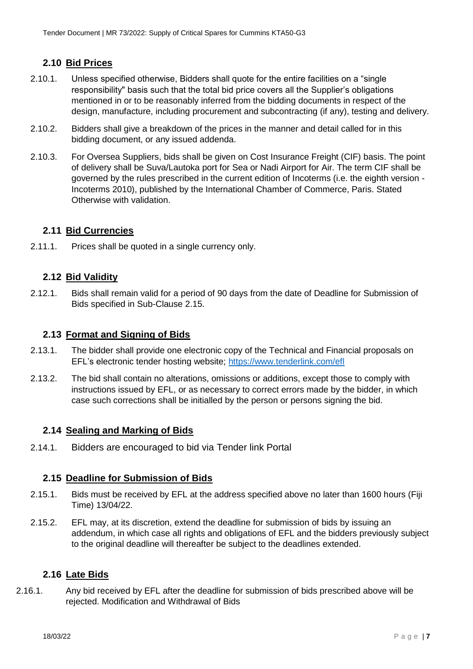## <span id="page-6-0"></span>**2.10 Bid Prices**

- 2.10.1. Unless specified otherwise, Bidders shall quote for the entire facilities on a "single responsibility" basis such that the total bid price covers all the Supplier's obligations mentioned in or to be reasonably inferred from the bidding documents in respect of the design, manufacture, including procurement and subcontracting (if any), testing and delivery.
- 2.10.2. Bidders shall give a breakdown of the prices in the manner and detail called for in this bidding document, or any issued addenda.
- 2.10.3. For Oversea Suppliers, bids shall be given on Cost Insurance Freight (CIF) basis. The point of delivery shall be Suva/Lautoka port for Sea or Nadi Airport for Air. The term CIF shall be governed by the rules prescribed in the current edition of Incoterms (i.e. the eighth version - Incoterms 2010), published by the International Chamber of Commerce, Paris. Stated Otherwise with validation.

#### <span id="page-6-1"></span>**2.11 Bid Currencies**

2.11.1. Prices shall be quoted in a single currency only.

## <span id="page-6-2"></span>**2.12 Bid Validity**

2.12.1. Bids shall remain valid for a period of 90 days from the date of Deadline for Submission of Bids specified in Sub-Clause 2.15.

#### <span id="page-6-3"></span>**2.13 Format and Signing of Bids**

- 2.13.1. The bidder shall provide one electronic copy of the Technical and Financial proposals on EFL's electronic tender hosting website; <https://www.tenderlink.com/efl>
- 2.13.2. The bid shall contain no alterations, omissions or additions, except those to comply with instructions issued by EFL, or as necessary to correct errors made by the bidder, in which case such corrections shall be initialled by the person or persons signing the bid.

#### <span id="page-6-4"></span>**2.14 Sealing and Marking of Bids**

2.14.1. Bidders are encouraged to bid via Tender link Portal

#### <span id="page-6-5"></span>**2.15 Deadline for Submission of Bids**

- 2.15.1. Bids must be received by EFL at the address specified above no later than 1600 hours (Fiji Time) 13/04/22.
- 2.15.2. EFL may, at its discretion, extend the deadline for submission of bids by issuing an addendum, in which case all rights and obligations of EFL and the bidders previously subject to the original deadline will thereafter be subject to the deadlines extended.

#### <span id="page-6-7"></span><span id="page-6-6"></span>**2.16 Late Bids**

2.16.1. Any bid received by EFL after the deadline for submission of bids prescribed above will be rejected. Modification and Withdrawal of Bids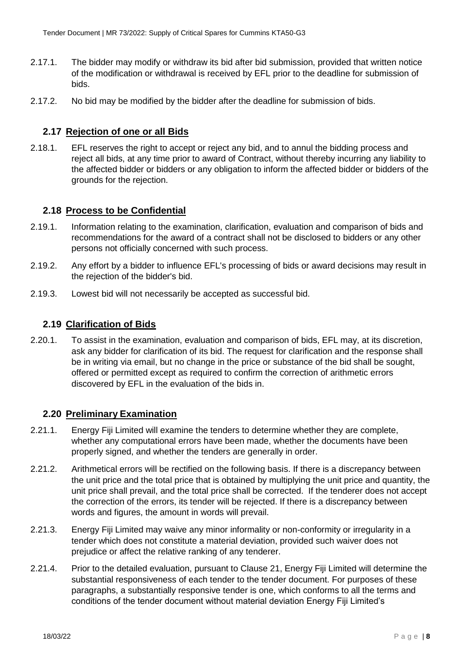- 2.17.1. The bidder may modify or withdraw its bid after bid submission, provided that written notice of the modification or withdrawal is received by EFL prior to the deadline for submission of bids.
- 2.17.2. No bid may be modified by the bidder after the deadline for submission of bids.

## <span id="page-7-0"></span>**2.17 Rejection of one or all Bids**

2.18.1. EFL reserves the right to accept or reject any bid, and to annul the bidding process and reject all bids, at any time prior to award of Contract, without thereby incurring any liability to the affected bidder or bidders or any obligation to inform the affected bidder or bidders of the grounds for the rejection.

#### <span id="page-7-1"></span>**2.18 Process to be Confidential**

- 2.19.1. Information relating to the examination, clarification, evaluation and comparison of bids and recommendations for the award of a contract shall not be disclosed to bidders or any other persons not officially concerned with such process.
- 2.19.2. Any effort by a bidder to influence EFL's processing of bids or award decisions may result in the rejection of the bidder's bid.
- 2.19.3. Lowest bid will not necessarily be accepted as successful bid.

#### <span id="page-7-2"></span>**2.19 Clarification of Bids**

2.20.1. To assist in the examination, evaluation and comparison of bids, EFL may, at its discretion, ask any bidder for clarification of its bid. The request for clarification and the response shall be in writing via email, but no change in the price or substance of the bid shall be sought, offered or permitted except as required to confirm the correction of arithmetic errors discovered by EFL in the evaluation of the bids in.

#### <span id="page-7-3"></span>**2.20 Preliminary Examination**

- 2.21.1. Energy Fiji Limited will examine the tenders to determine whether they are complete, whether any computational errors have been made, whether the documents have been properly signed, and whether the tenders are generally in order.
- 2.21.2. Arithmetical errors will be rectified on the following basis. If there is a discrepancy between the unit price and the total price that is obtained by multiplying the unit price and quantity, the unit price shall prevail, and the total price shall be corrected. If the tenderer does not accept the correction of the errors, its tender will be rejected. If there is a discrepancy between words and figures, the amount in words will prevail.
- 2.21.3. Energy Fiji Limited may waive any minor informality or non-conformity or irregularity in a tender which does not constitute a material deviation, provided such waiver does not prejudice or affect the relative ranking of any tenderer.
- 2.21.4. Prior to the detailed evaluation, pursuant to Clause 21, Energy Fiji Limited will determine the substantial responsiveness of each tender to the tender document. For purposes of these paragraphs, a substantially responsive tender is one, which conforms to all the terms and conditions of the tender document without material deviation Energy Fiji Limited's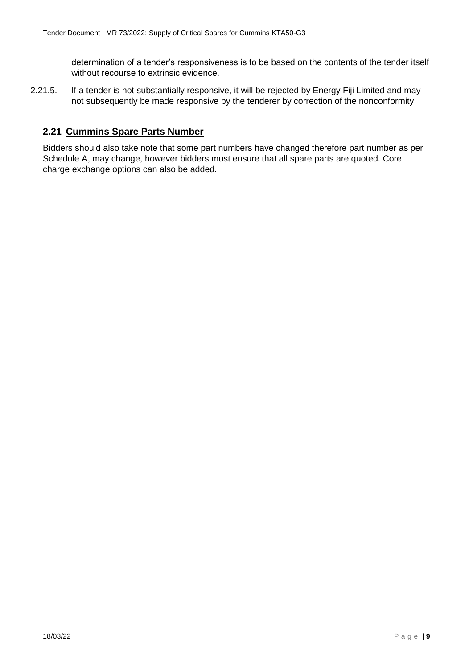determination of a tender's responsiveness is to be based on the contents of the tender itself without recourse to extrinsic evidence.

2.21.5. If a tender is not substantially responsive, it will be rejected by Energy Fiji Limited and may not subsequently be made responsive by the tenderer by correction of the nonconformity.

## <span id="page-8-0"></span>**2.21 Cummins Spare Parts Number**

Bidders should also take note that some part numbers have changed therefore part number as per Schedule A, may change, however bidders must ensure that all spare parts are quoted. Core charge exchange options can also be added.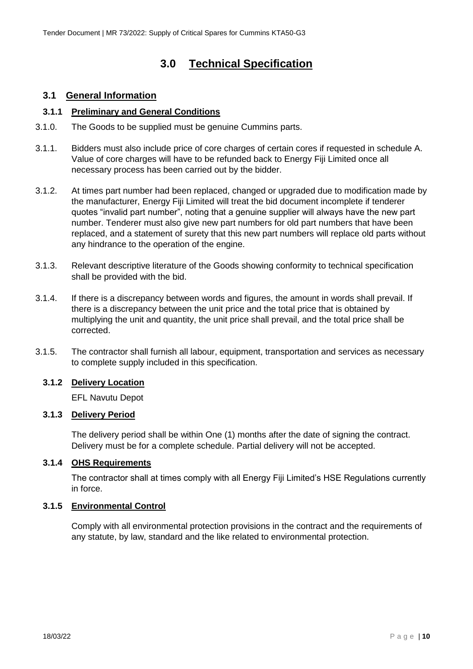# **3.0 Technical Specification**

## <span id="page-9-1"></span><span id="page-9-0"></span>**3.1 General Information**

#### <span id="page-9-2"></span>**3.1.1 Preliminary and General Conditions**

- 3.1.0. The Goods to be supplied must be genuine Cummins parts.
- 3.1.1. Bidders must also include price of core charges of certain cores if requested in schedule A. Value of core charges will have to be refunded back to Energy Fiji Limited once all necessary process has been carried out by the bidder.
- 3.1.2. At times part number had been replaced, changed or upgraded due to modification made by the manufacturer, Energy Fiji Limited will treat the bid document incomplete if tenderer quotes "invalid part number", noting that a genuine supplier will always have the new part number. Tenderer must also give new part numbers for old part numbers that have been replaced, and a statement of surety that this new part numbers will replace old parts without any hindrance to the operation of the engine.
- 3.1.3. Relevant descriptive literature of the Goods showing conformity to technical specification shall be provided with the bid.
- 3.1.4. If there is a discrepancy between words and figures, the amount in words shall prevail. If there is a discrepancy between the unit price and the total price that is obtained by multiplying the unit and quantity, the unit price shall prevail, and the total price shall be corrected.
- 3.1.5. The contractor shall furnish all labour, equipment, transportation and services as necessary to complete supply included in this specification.

## <span id="page-9-3"></span>**3.1.2 Delivery Location**

EFL Navutu Depot

#### <span id="page-9-4"></span>**3.1.3 Delivery Period**

The delivery period shall be within One (1) months after the date of signing the contract. Delivery must be for a complete schedule. Partial delivery will not be accepted.

#### <span id="page-9-5"></span>**3.1.4 OHS Requirements**

The contractor shall at times comply with all Energy Fiji Limited's HSE Regulations currently in force.

#### <span id="page-9-6"></span>**3.1.5 Environmental Control**

Comply with all environmental protection provisions in the contract and the requirements of any statute, by law, standard and the like related to environmental protection.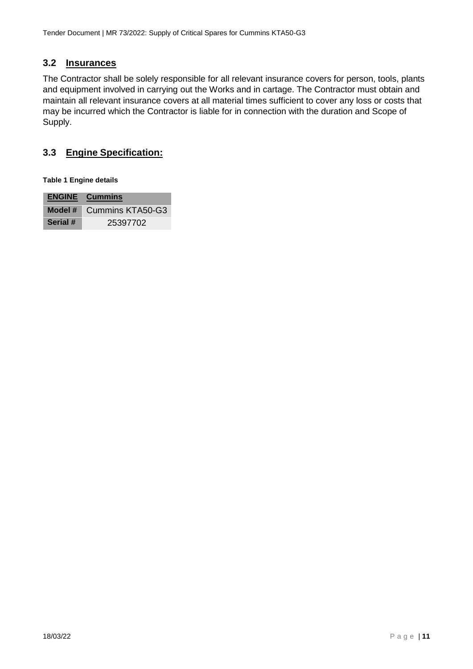## <span id="page-10-0"></span>**3.2 Insurances**

The Contractor shall be solely responsible for all relevant insurance covers for person, tools, plants and equipment involved in carrying out the Works and in cartage. The Contractor must obtain and maintain all relevant insurance covers at all material times sufficient to cover any loss or costs that may be incurred which the Contractor is liable for in connection with the duration and Scope of Supply.

## <span id="page-10-1"></span>**3.3 Engine Specification:**

**Table 1 Engine details**

|          | <b>ENGINE</b> Cummins |
|----------|-----------------------|
| Model #  | Cummins KTA50-G3      |
| Serial # | 25397702              |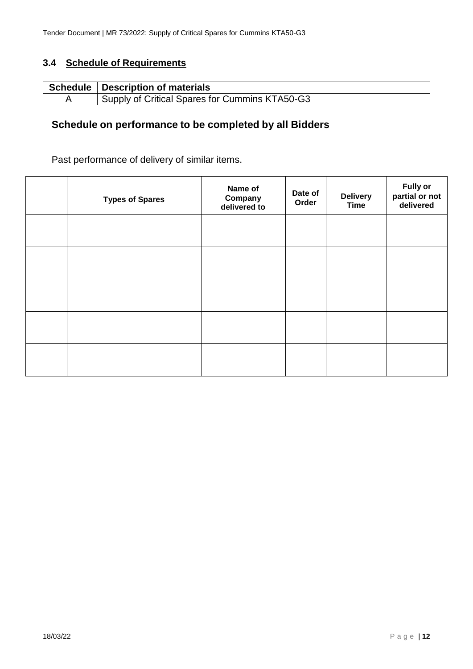## <span id="page-11-0"></span>**3.4 Schedule of Requirements**

| Schedule   Description of materials                         |
|-------------------------------------------------------------|
| <sup>1</sup> Supply of Critical Spares for Cummins KTA50-G3 |

## **Schedule on performance to be completed by all Bidders**

## Past performance of delivery of similar items.

| <b>Types of Spares</b> | Name of<br>Company<br>delivered to | Date of<br>Order | <b>Delivery</b><br><b>Time</b> | <b>Fully or</b><br>partial or not<br>delivered |
|------------------------|------------------------------------|------------------|--------------------------------|------------------------------------------------|
|                        |                                    |                  |                                |                                                |
|                        |                                    |                  |                                |                                                |
|                        |                                    |                  |                                |                                                |
|                        |                                    |                  |                                |                                                |
|                        |                                    |                  |                                |                                                |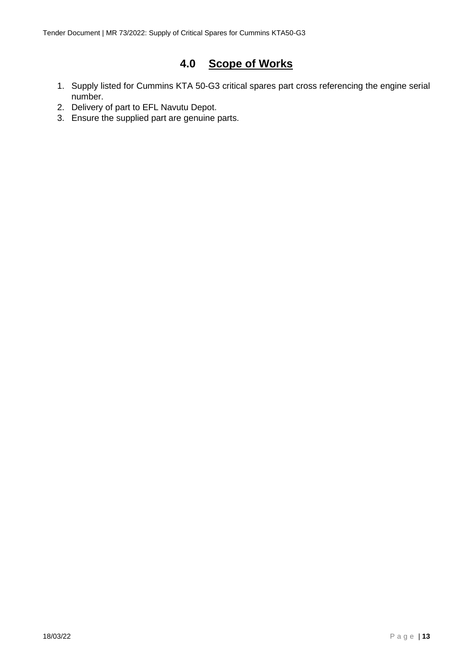# **4.0 Scope of Works**

- <span id="page-12-0"></span>1. Supply listed for Cummins KTA 50-G3 critical spares part cross referencing the engine serial number.
- 2. Delivery of part to EFL Navutu Depot.
- 3. Ensure the supplied part are genuine parts.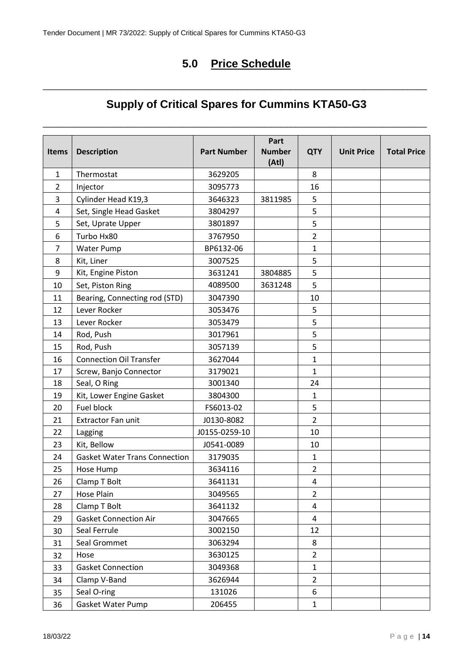# **5.0 Price Schedule**

# **Supply of Critical Spares for Cummins KTA50-G3**

\_\_\_\_\_\_\_\_\_\_\_\_\_\_\_\_\_\_\_\_\_\_\_\_\_\_\_\_\_\_\_\_\_\_\_\_\_\_\_\_\_\_\_\_\_\_\_\_\_\_\_\_\_\_\_\_\_\_\_\_\_\_\_\_\_\_\_\_\_\_\_\_\_\_\_\_\_\_\_

<span id="page-13-0"></span>\_\_\_\_\_\_\_\_\_\_\_\_\_\_\_\_\_\_\_\_\_\_\_\_\_\_\_\_\_\_\_\_\_\_\_\_\_\_\_\_\_\_\_\_\_\_\_\_\_\_\_\_\_\_\_\_\_\_\_\_\_\_\_\_\_\_\_\_\_\_\_\_\_\_\_\_\_\_\_

| <b>Items</b> | <b>Description</b>                   | <b>Part Number</b> | Part<br><b>Number</b><br>(Atl) | <b>QTY</b>     | <b>Unit Price</b> | <b>Total Price</b> |
|--------------|--------------------------------------|--------------------|--------------------------------|----------------|-------------------|--------------------|
| $\mathbf{1}$ | Thermostat                           | 3629205            |                                | 8              |                   |                    |
| 2            | Injector                             | 3095773            |                                | 16             |                   |                    |
| 3            | Cylinder Head K19,3                  | 3646323            | 3811985                        | 5              |                   |                    |
| 4            | Set, Single Head Gasket              | 3804297            |                                | 5              |                   |                    |
| 5            | Set, Uprate Upper                    | 3801897            |                                | 5              |                   |                    |
| 6            | Turbo Hx80                           | 3767950            |                                | $\overline{2}$ |                   |                    |
| 7            | <b>Water Pump</b>                    | BP6132-06          |                                | $\mathbf{1}$   |                   |                    |
| 8            | Kit, Liner                           | 3007525            |                                | 5              |                   |                    |
| 9            | Kit, Engine Piston                   | 3631241            | 3804885                        | 5              |                   |                    |
| 10           | Set, Piston Ring                     | 4089500            | 3631248                        | 5              |                   |                    |
| 11           | Bearing, Connecting rod (STD)        | 3047390            |                                | 10             |                   |                    |
| 12           | Lever Rocker                         | 3053476            |                                | 5              |                   |                    |
| 13           | Lever Rocker                         | 3053479            |                                | 5              |                   |                    |
| 14           | Rod, Push                            | 3017961            |                                | 5              |                   |                    |
| 15           | Rod, Push                            | 3057139            |                                | 5              |                   |                    |
| 16           | <b>Connection Oil Transfer</b>       | 3627044            |                                | $\mathbf{1}$   |                   |                    |
| 17           | Screw, Banjo Connector               | 3179021            |                                | $\mathbf{1}$   |                   |                    |
| 18           | Seal, O Ring                         | 3001340            |                                | 24             |                   |                    |
| 19           | Kit, Lower Engine Gasket             | 3804300            |                                | $\mathbf{1}$   |                   |                    |
| 20           | Fuel block                           | FS6013-02          |                                | 5              |                   |                    |
| 21           | <b>Extractor Fan unit</b>            | J0130-8082         |                                | $\overline{2}$ |                   |                    |
| 22           | Lagging                              | J0155-0259-10      |                                | 10             |                   |                    |
| 23           | Kit, Bellow                          | J0541-0089         |                                | 10             |                   |                    |
| 24           | <b>Gasket Water Trans Connection</b> | 3179035            |                                | $\mathbf{1}$   |                   |                    |
| 25           | Hose Hump                            | 3634116            |                                | $\overline{2}$ |                   |                    |
| 26           | Clamp T Bolt                         | 3641131            |                                | 4              |                   |                    |
| 27           | Hose Plain                           | 3049565            |                                | $\overline{2}$ |                   |                    |
| 28           | Clamp T Bolt                         | 3641132            |                                | 4              |                   |                    |
| 29           | <b>Gasket Connection Air</b>         | 3047665            |                                | 4              |                   |                    |
| 30           | Seal Ferrule                         | 3002150            |                                | 12             |                   |                    |
| 31           | Seal Grommet                         | 3063294            |                                | 8              |                   |                    |
| 32           | Hose                                 | 3630125            |                                | $\overline{2}$ |                   |                    |
| 33           | <b>Gasket Connection</b>             | 3049368            |                                | $\mathbf{1}$   |                   |                    |
| 34           | Clamp V-Band                         | 3626944            |                                | $\overline{2}$ |                   |                    |
| 35           | Seal O-ring                          | 131026             |                                | 6              |                   |                    |
| 36           | Gasket Water Pump                    | 206455             |                                | $\mathbf{1}$   |                   |                    |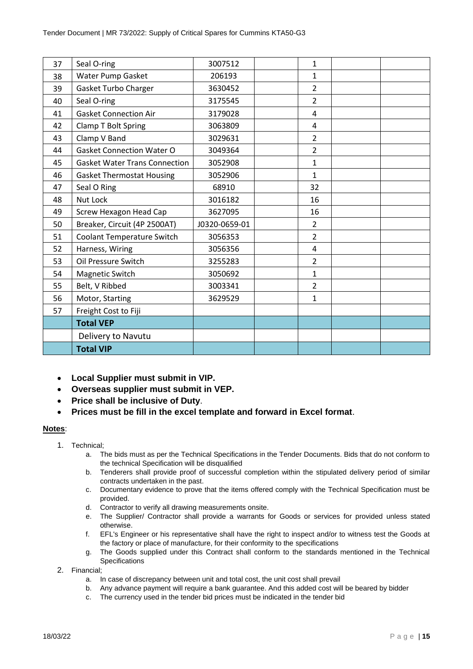| 37 | Seal O-ring                          | 3007512       | $\mathbf{1}$   |  |
|----|--------------------------------------|---------------|----------------|--|
| 38 | Water Pump Gasket                    | 206193        | $\mathbf{1}$   |  |
| 39 | Gasket Turbo Charger                 | 3630452       | $\overline{2}$ |  |
| 40 | Seal O-ring                          | 3175545       | $\overline{2}$ |  |
| 41 | <b>Gasket Connection Air</b>         | 3179028       | $\overline{4}$ |  |
| 42 | Clamp T Bolt Spring                  | 3063809       | 4              |  |
| 43 | Clamp V Band                         | 3029631       | $\overline{2}$ |  |
| 44 | <b>Gasket Connection Water O</b>     | 3049364       | $\overline{2}$ |  |
| 45 | <b>Gasket Water Trans Connection</b> | 3052908       | $\mathbf{1}$   |  |
| 46 | <b>Gasket Thermostat Housing</b>     | 3052906       | $\mathbf{1}$   |  |
| 47 | Seal O Ring                          | 68910         | 32             |  |
| 48 | Nut Lock                             | 3016182       | 16             |  |
| 49 | <b>Screw Hexagon Head Cap</b>        | 3627095       | 16             |  |
| 50 | Breaker, Circuit (4P 2500AT)         | J0320-0659-01 | $\overline{2}$ |  |
| 51 | <b>Coolant Temperature Switch</b>    | 3056353       | $\overline{2}$ |  |
| 52 | Harness, Wiring                      | 3056356       | $\overline{4}$ |  |
| 53 | Oil Pressure Switch                  | 3255283       | $\overline{2}$ |  |
| 54 | Magnetic Switch                      | 3050692       | $\mathbf{1}$   |  |
| 55 | Belt, V Ribbed                       | 3003341       | $\overline{2}$ |  |
| 56 | Motor, Starting                      | 3629529       | $\mathbf{1}$   |  |
| 57 | Freight Cost to Fiji                 |               |                |  |
|    | <b>Total VEP</b>                     |               |                |  |
|    | Delivery to Navutu                   |               |                |  |
|    | <b>Total VIP</b>                     |               |                |  |

- **Local Supplier must submit in VIP.**
- **Overseas supplier must submit in VEP.**
- **Price shall be inclusive of Duty**.
- **Prices must be fill in the excel template and forward in Excel format**.

#### **Notes**:

- 1. Technical;
	- a. The bids must as per the Technical Specifications in the Tender Documents. Bids that do not conform to the technical Specification will be disqualified
	- b. Tenderers shall provide proof of successful completion within the stipulated delivery period of similar contracts undertaken in the past.
	- c. Documentary evidence to prove that the items offered comply with the Technical Specification must be provided.
	- d. Contractor to verify all drawing measurements onsite.
	- e. The Supplier/ Contractor shall provide a warrants for Goods or services for provided unless stated otherwise.
	- f. EFL's Engineer or his representative shall have the right to inspect and/or to witness test the Goods at the factory or place of manufacture, for their conformity to the specifications
	- g. The Goods supplied under this Contract shall conform to the standards mentioned in the Technical Specifications
- 2. Financial;
	- a. In case of discrepancy between unit and total cost, the unit cost shall prevail
	- b. Any advance payment will require a bank guarantee. And this added cost will be beared by bidder
	- c. The currency used in the tender bid prices must be indicated in the tender bid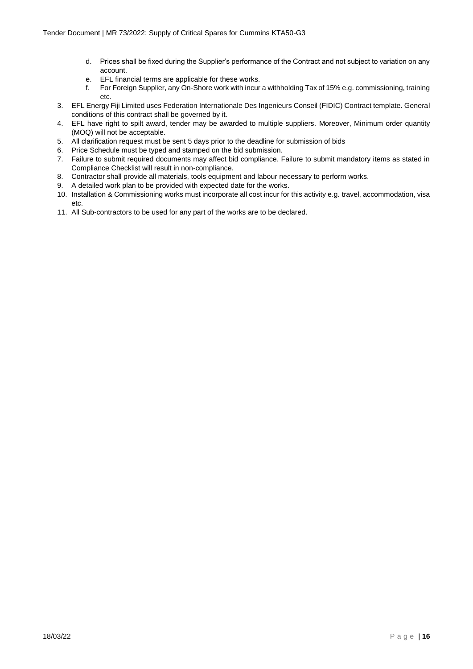- d. Prices shall be fixed during the Supplier's performance of the Contract and not subject to variation on any account.
- e. EFL financial terms are applicable for these works.
- f. For Foreign Supplier, any On-Shore work with incur a withholding Tax of 15% e.g. commissioning, training etc.
- 3. EFL Energy Fiji Limited uses Federation Internationale Des Ingenieurs Conseil (FIDIC) Contract template. General conditions of this contract shall be governed by it.
- 4. EFL have right to spilt award, tender may be awarded to multiple suppliers. Moreover, Minimum order quantity (MOQ) will not be acceptable.
- 5. All clarification request must be sent 5 days prior to the deadline for submission of bids
- 6. Price Schedule must be typed and stamped on the bid submission.
- 7. Failure to submit required documents may affect bid compliance. Failure to submit mandatory items as stated in Compliance Checklist will result in non-compliance.
- 8. Contractor shall provide all materials, tools equipment and labour necessary to perform works.
- 9. A detailed work plan to be provided with expected date for the works.
- 10. Installation & Commissioning works must incorporate all cost incur for this activity e.g. travel, accommodation, visa etc.
- 11. All Sub-contractors to be used for any part of the works are to be declared.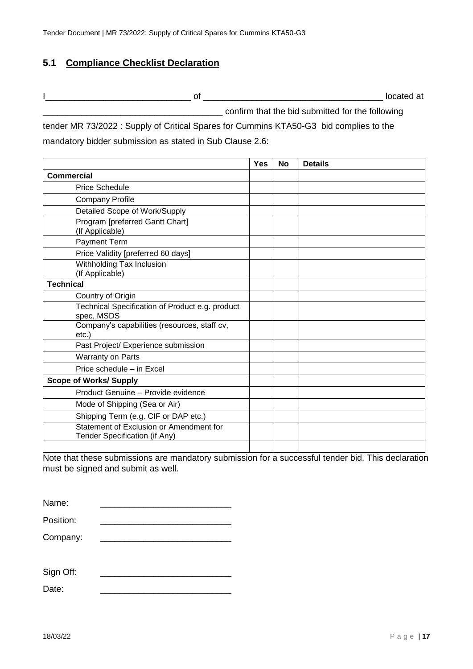## <span id="page-16-0"></span>**5.1 Compliance Checklist Declaration**

I\_\_\_\_\_\_\_\_\_\_\_\_\_\_\_\_\_\_\_\_\_\_\_\_\_\_\_\_\_\_ of \_\_\_\_\_\_\_\_\_\_\_\_\_\_\_\_\_\_\_\_\_\_\_\_\_\_\_\_\_\_\_\_\_\_\_\_\_ located at

confirm that the bid submitted for the following

tender MR 73/2022 : Supply of Critical Spares for Cummins KTA50-G3 bid complies to the mandatory bidder submission as stated in Sub Clause 2.6:

|                                                                          | <b>Yes</b> | <b>No</b> | <b>Details</b> |
|--------------------------------------------------------------------------|------------|-----------|----------------|
| <b>Commercial</b>                                                        |            |           |                |
| <b>Price Schedule</b>                                                    |            |           |                |
| <b>Company Profile</b>                                                   |            |           |                |
| Detailed Scope of Work/Supply                                            |            |           |                |
| Program [preferred Gantt Chart]<br>(If Applicable)                       |            |           |                |
| Payment Term                                                             |            |           |                |
| Price Validity [preferred 60 days]                                       |            |           |                |
| Withholding Tax Inclusion<br>(If Applicable)                             |            |           |                |
| <b>Technical</b>                                                         |            |           |                |
| Country of Origin                                                        |            |           |                |
| Technical Specification of Product e.g. product<br>spec, MSDS            |            |           |                |
| Company's capabilities (resources, staff cv,<br>$etc.$ )                 |            |           |                |
| Past Project/ Experience submission                                      |            |           |                |
| Warranty on Parts                                                        |            |           |                |
| Price schedule - in Excel                                                |            |           |                |
| <b>Scope of Works/ Supply</b>                                            |            |           |                |
| Product Genuine - Provide evidence                                       |            |           |                |
| Mode of Shipping (Sea or Air)                                            |            |           |                |
| Shipping Term (e.g. CIF or DAP etc.)                                     |            |           |                |
| Statement of Exclusion or Amendment for<br>Tender Specification (if Any) |            |           |                |
|                                                                          |            |           |                |

Note that these submissions are mandatory submission for a successful tender bid. This declaration must be signed and submit as well.

| Name:     |  |
|-----------|--|
| Position: |  |
| Company:  |  |
| Sign Off: |  |

| Date: |  |
|-------|--|
|       |  |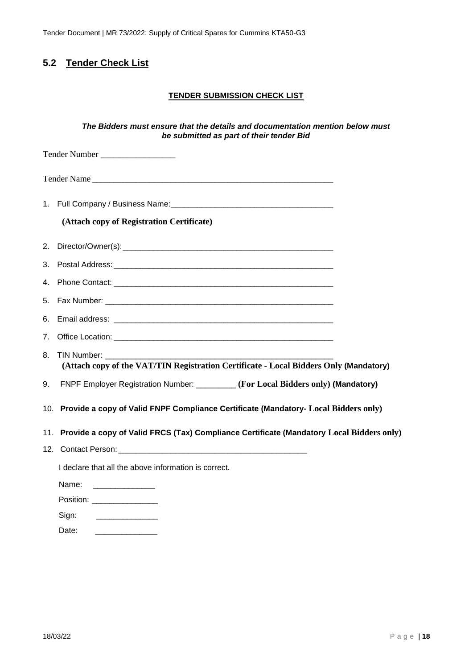Tender Document | MR 73/2022: Supply of Critical Spares for Cummins KTA50-G3

# <span id="page-17-0"></span>**5.2 Tender Check List**

#### **TENDER SUBMISSION CHECK LIST**

#### *The Bidders must ensure that the details and documentation mention below must be submitted as part of their tender Bid*

|    | Tender Number __________________                                                             |  |
|----|----------------------------------------------------------------------------------------------|--|
|    |                                                                                              |  |
|    |                                                                                              |  |
|    | (Attach copy of Registration Certificate)                                                    |  |
|    |                                                                                              |  |
|    |                                                                                              |  |
|    |                                                                                              |  |
|    |                                                                                              |  |
|    |                                                                                              |  |
|    |                                                                                              |  |
| 8. | (Attach copy of the VAT/TIN Registration Certificate - Local Bidders Only (Mandatory)        |  |
| 9. | FNPF Employer Registration Number: ________ (For Local Bidders only) (Mandatory)             |  |
|    | 10. Provide a copy of Valid FNPF Compliance Certificate (Mandatory- Local Bidders only)      |  |
|    | 11. Provide a copy of Valid FRCS (Tax) Compliance Certificate (Mandatory Local Bidders only) |  |
|    |                                                                                              |  |
|    | I declare that all the above information is correct.                                         |  |
|    | Name:                                                                                        |  |
|    | Position: Network and Contact the Position:                                                  |  |
|    | Sign:                                                                                        |  |

Date: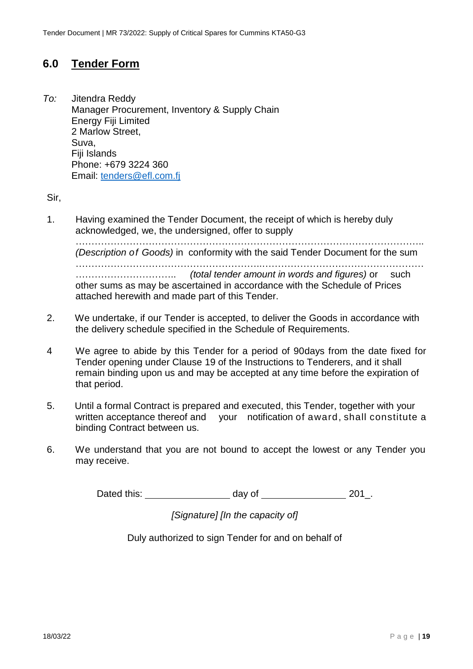# <span id="page-18-0"></span>**6.0 Tender Form**

*To:* Jitendra Reddy Manager Procurement, Inventory & Supply Chain Energy Fiji Limited 2 Marlow Street, Suva, Fiji Islands Phone: +679 3224 360 Email: [tenders@efl.com.fj](mailto:tenders@efl.com.fj)

Sir,

1. Having examined the Tender Document, the receipt of which is hereby duly acknowledged, we, the undersigned, offer to supply

……………………………………………………………………………………………….. *(Description of Goods)* in conformity with the said Tender Document for the sum …………………………………………………..…………………………………………… ………………………….. *(total tender amount in words and figures)* or such other sums as may be ascertained in accordance with the Schedule of Prices attached herewith and made part of this Tender.

- 2. We undertake, if our Tender is accepted, to deliver the Goods in accordance with the delivery schedule specified in the Schedule of Requirements.
- 4 We agree to abide by this Tender for a period of 90days from the date fixed for Tender opening under Clause 19 of the Instructions to Tenderers, and it shall remain binding upon us and may be accepted at any time before the expiration of that period.
- 5. Until a formal Contract is prepared and executed, this Tender, together with your written acceptance thereof and your notification of award, shall constitute a binding Contract between us.
- 6. We understand that you are not bound to accept the lowest or any Tender you may receive.

Dated this: day of 201.

*[Signature] [In the capacity of]*

Duly authorized to sign Tender for and on behalf of